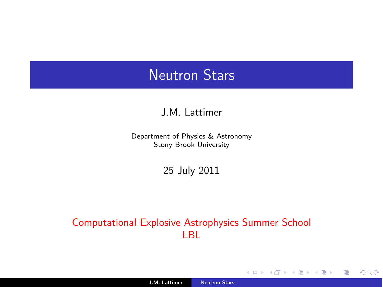### Neutron Stars

#### J.M. Lattimer

Department of Physics & Astronomy Stony Brook University

25 July 2011

#### Computational Explosive Astrophysics Summer School LBL

**← ロ → → 伊** 

目

モミト

<span id="page-0-0"></span> $299$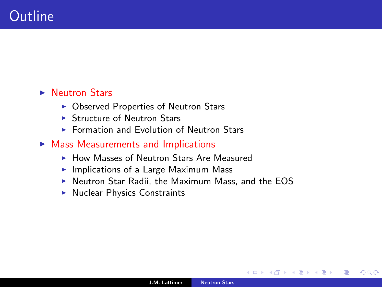#### **Neutron Stars**

- **Observed Properties of Neutron Stars**
- **E.** Structure of Neutron Stars
- ▶ Formation and Evolution of Neutron Stars
- $\triangleright$  Mass Measurements and Implications
	- **How Masses of Neutron Stars Are Measured**
	- **Implications of a Large Maximum Mass**
	- ! Neutron Star Radii, the Maximum Mass, and the EOS
	- **Nuclear Physics Constraints**

4日)

 $QQ$ 

э

э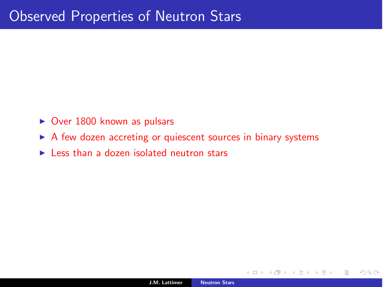- $\triangleright$  Over 1800 known as pulsars
- ▶ A few dozen accreting or quiescent sources in binary systems
- $\blacktriangleright$  Less than a dozen isolated neutron stars

4日)

 $QQ$ 

э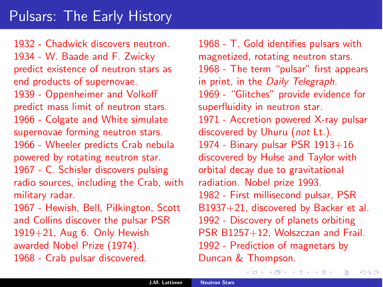1932 - Chadwick discovers neutron. 1934 - W. Baade and F. Zwicky predict existence of neutron stars as end products of supernovae. 1939 - Oppenheimer and Volkoff predict mass limit of neutron stars. 1966 - Colgate and White simulate supernovae forming neutron stars. 1966 - Wheeler predicts Crab nebula powered by rotating neutron star. 1967 - C. Schisler discovers pulsing radio sources, including the Crab, with military radar. 1967 - Hewish, Bell, Pilkington, Scott and Collins discover the pulsar PSR

1919+21, Aug 6. Only Hewish awarded Nobel Prize (1974).

1968 - Crab pulsar discovered.

1968 - T. Gold identifies pulsars with magnetized, rotating neutron stars. 1968 - The term "pulsar" first appears in print, in the *Daily Telegraph*. 1969 - "Glitches" provide evidence for superfluidity in neutron star. 1971 - Accretion powered X-ray pulsar discovered by Uhuru (*not* Lt.). 1974 - Binary pulsar PSR 1913+16 discovered by Hulse and Taylor with orbital decay due to gravitational radiation. Nobel prize 1993. 1982 - First millisecond pulsar, PSR B1937+21, discovered by Backer et al. 1992 - Discovery of planets orbiting PSR B1257+12, Wolszczan and Frail. 1992 - Prediction of magnetars by Duncan & Thompson.

すロト オ部 ト すき ト すき ト

目

 $QQ$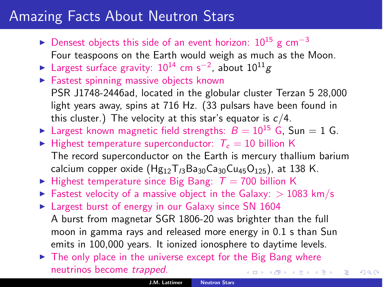# Amazing Facts About Neutron Stars

- $\triangleright$  Densest objects this side of an event horizon: 10<sup>15</sup> g cm<sup>-3</sup> Four teaspoons on the Earth would weigh as much as the Moon.
- ► Largest surface gravity:  $10^{14}$  cm s<sup>-2</sup>, about  $10^{11}$ *g*
- **Eastest spinning massive objects known** PSR J1748-2446ad, located in the globular cluster Terzan 5 28,000 light years away, spins at 716 Hz. (33 pulsars have been found in this cluster.) The velocity at this star's equator is *c*/4.
- Examples 1 Largest known magnetic field strengths:  $B = 10^{15}$  G, Sun = 1 G.
- $\blacktriangleright$  Highest temperature superconductor:  $T_c = 10$  billion K The record superconductor on the Earth is mercury thallium barium calcium copper oxide (Hg<sub>12</sub>T<sub>/3</sub>Ba<sub>30</sub>Ca<sub>30</sub>Cu<sub>45</sub>O<sub>125</sub>), at 138 K.
- $\blacktriangleright$  Highest temperature since Big Bang:  $T = 700$  billion K
- Eastest velocity of a massive object in the Galaxy:  $> 1083$  km/s
- **Example 1** Largest burst of energy in our Galaxy since SN 1604 A burst from magnetar SGR 1806-20 was brighter than the full moon in gamma rays and released more energy in 0.1 s than Sun emits in 100,000 years. It ionized ionosphere to daytime levels.
- $\triangleright$  The only place in the universe except for the Big Bang where neutrinos become *trapped*. イロト イ押 トイヨト イヨト

 $\Rightarrow$ 

<span id="page-4-0"></span> $QQ$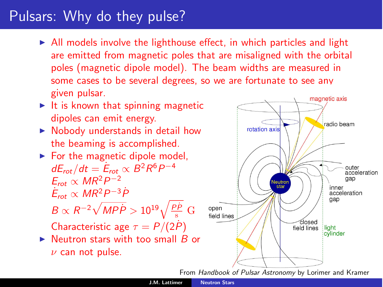# Pulsars: Why do they pulse?

- $\triangleright$  All models involve the lighthouse effect, in which particles and light are emitted from magnetic poles that are misaligned with the orbital poles (magnetic dipole model). The beam widths are measured in some cases to be several degrees, so we are fortunate to see any given pulsar.
- $\blacktriangleright$  It is known that spinning magnetic dipoles can emit energy.
- ▶ Nobody understands in detail how the beaming is accomplished.
- $\blacktriangleright$  For the magnetic dipole model, *dE*<sub>*rot</sub>*/*dt* =  $\dot{E}_{rot}$  ∝ *B*<sup>2</sup>*R*<sup>6</sup>*P*<sup>−4</sup></sub>  $E_{rot} \propto MR^2P^{-2}$  $\dot{E}_{rot} \propto MR^2P^{-3}\dot{P}$

$$
B \propto R^{-2} \sqrt{MP\dot{P}} > 10^{19} \sqrt{\frac{P\dot{P}}{s}} \text{ G}
$$

Characteristic age  $\tau = P/(2P)$ 

▶ Neutron stars with too small *B* or  $\nu$  can not pulse.



<span id="page-5-0"></span>From *Handbook of [Puls](#page-4-0)a[r A](#page-6-0)[st](#page-4-0)[ron](#page-5-0)[om](#page-6-0)[y](#page-0-0)* [by Lorimer and Kram](#page-0-0)er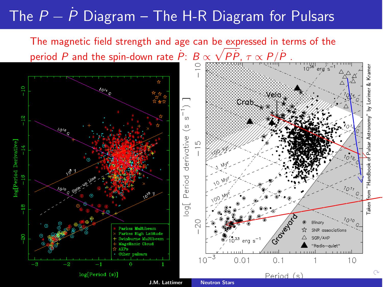# The *<sup>P</sup>* <sup>−</sup> *<sup>P</sup>*˙ Diagram – The H-R Diagram for Pulsars

The magnetic field strength and age can be expressed in terms of the period *P* and the spin-down rate  $\dot{P}$ :  $B \propto \sqrt{P}\dot{P}$ ,  $\tau \propto P/\dot{P}$ .

<span id="page-6-0"></span>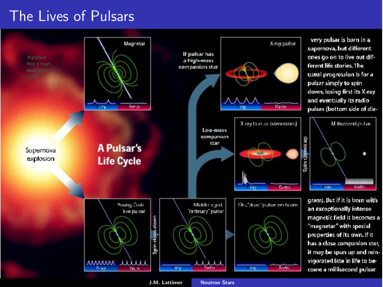## The Lives of Pulsars



J.M. Lattimer [Neutron Stars](#page-0-0)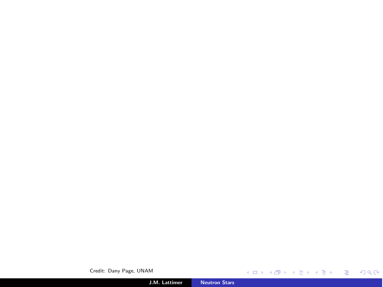Credit: Dany Page, UNAM **Kロトメ団 > Kミドメミド ミニのダウ** J.M. Lattimer [Neutron Stars](#page-0-0)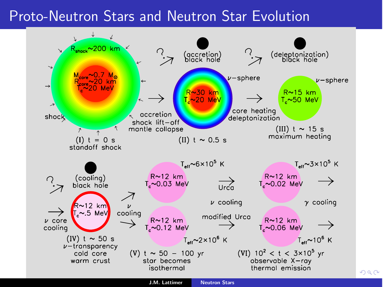## Proto-Neutron Stars and Neutron Star Evolution



 $2Q$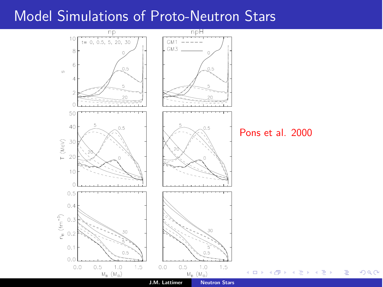## Model Simulations of Proto-Neutron Stars

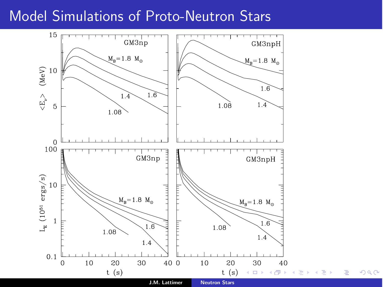## Model Simulations of Proto-Neutron Stars



 $2Q$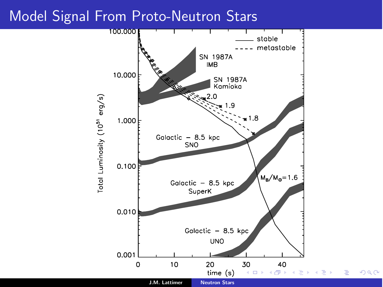### Model Signal From Proto-Neutron Stars

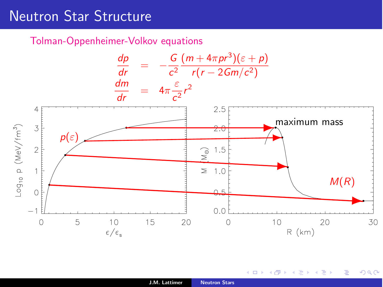# Neutron Star Structure

Tolman-Oppenheimer-Volkov equations



4日)

つへへ

∍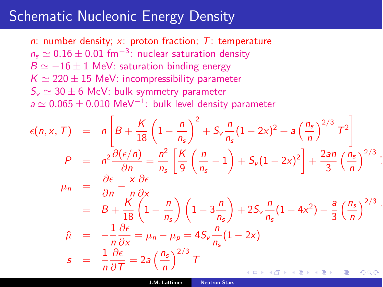### Schematic Nucleonic Energy Density

*n*: number density; *x*: proton fraction; *T*: temperature  $n_s \simeq 0.16 \pm 0.01$  fm<sup>-3</sup>: nuclear saturation density  $B \simeq -16 \pm 1$  MeV: saturation binding energy  $K \simeq 220 \pm 15$  MeV: incompressibility parameter  $S_v \simeq 30 \pm 6$  MeV: bulk symmetry parameter  $a \simeq 0.065 \pm 0.010$  MeV<sup>-1</sup>: bulk level density parameter

$$
\epsilon(n, x, T) = n\left[B + \frac{K}{18}\left(1 - \frac{n}{n_s}\right)^2 + S_v \frac{n}{n_s}(1 - 2x)^2 + a\left(\frac{n_s}{n}\right)^{2/3}T^2\right]
$$
\n
$$
P = n^2 \frac{\partial(\epsilon/n)}{\partial n} = \frac{n^2}{n_s}\left[\frac{K}{9}\left(\frac{n}{n_s} - 1\right) + S_v(1 - 2x)^2\right] + \frac{2an}{3}\left(\frac{n_s}{n}\right)^{2/3};
$$
\n
$$
\mu_n = \frac{\partial \epsilon}{\partial n} - \frac{x}{n}\frac{\partial \epsilon}{\partial x}
$$
\n
$$
= B + \frac{K}{18}\left(1 - \frac{n}{n_s}\right)\left(1 - 3\frac{n}{n_s}\right) + 2S_v \frac{n}{n_s}(1 - 4x^2) - \frac{a}{3}\left(\frac{n_s}{n}\right)^{2/3};
$$
\n
$$
\hat{\mu} = -\frac{1}{n}\frac{\partial \epsilon}{\partial x} = \mu_n - \mu_p = 4S_v \frac{n}{n_s}(1 - 2x)
$$
\n
$$
s = \frac{1}{n}\frac{\partial \epsilon}{\partial T} = 2a\left(\frac{n_s}{n}\right)^{2/3}T
$$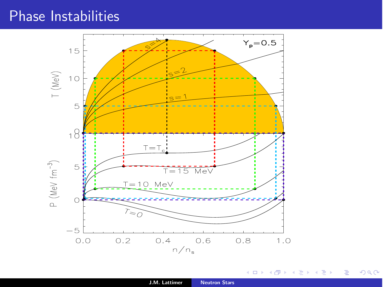## Phase Instabilities



 $\leftarrow$   $\Box$   $\rightarrow$ 

 $\mathcal{A}$  . 市 × 重  $\sim$  <span id="page-15-0"></span> $299$ 

目

- 세로 베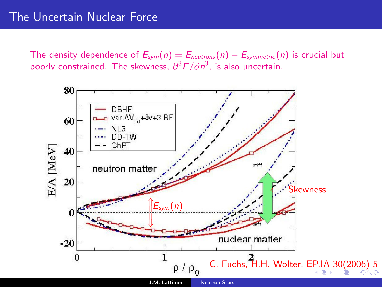The density dependence of  $E_{sym}(n) = E_{neutron}(n) - E_{symmetric}(n)$  is crucial but poorly constrained. The skewness.  $\partial^3 E/\partial n^3$ , is also uncertain.

<span id="page-16-0"></span>